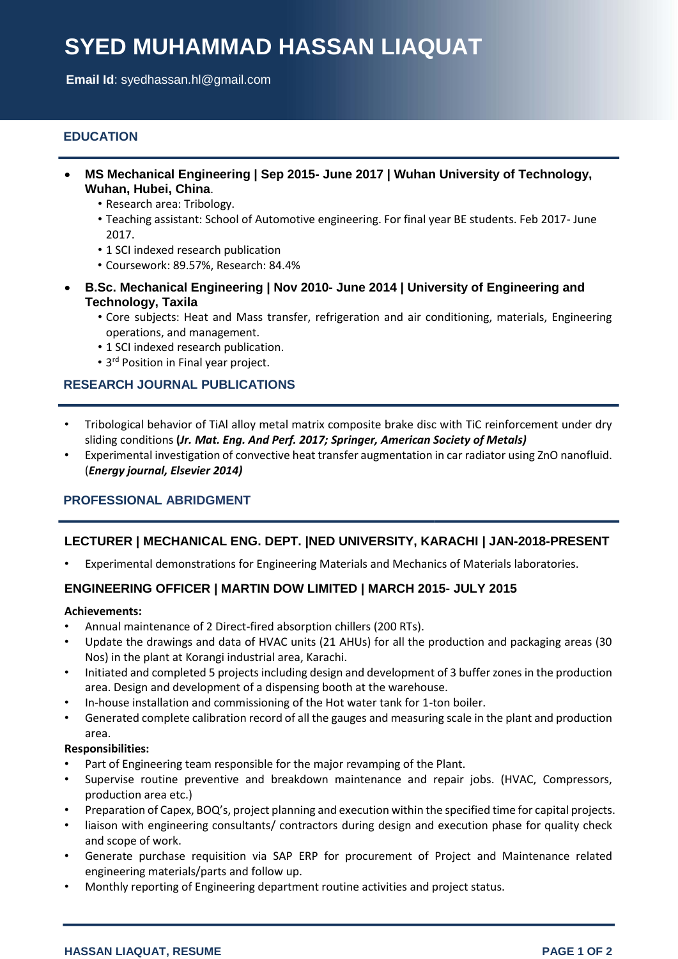# **SYED MUHAMMAD HASSAN LIAQUAT**

**Email Id**: [syedhassan.hl@gmail.com](mailto:syedhassan.hl@gmail.com)

# **EDUCATION**

- **MS Mechanical Engineering | Sep 2015- June 2017 | Wuhan University of Technology, Wuhan, Hubei, China**.
	- Research area: Tribology.
	- Teaching assistant: School of Automotive engineering. For final year BE students. Feb 2017- June 2017.
	- 1 SCI indexed research publication
	- Coursework: 89.57%, Research: 84.4%
- **B.Sc. Mechanical Engineering | Nov 2010- June 2014 | University of Engineering and Technology, Taxila**
	- Core subjects: Heat and Mass transfer, refrigeration and air conditioning, materials, Engineering operations, and management.
	- 1 SCI indexed research publication.
	- 3 rd Position in Final year project.

#### **RESEARCH JOURNAL PUBLICATIONS**

- Tribological behavior of TiAl alloy metal matrix composite brake disc with TiC reinforcement under dry sliding conditions **(***Jr. Mat. Eng. And Perf. 2017; Springer, American Society of Metals)*
- Experimental investigation of convective heat transfer augmentation in car radiator using ZnO nanofluid. (*Energy journal, Elsevier 2014)*

#### **PROFESSIONAL ABRIDGMENT**

#### **LECTURER | MECHANICAL ENG. DEPT. |NED UNIVERSITY, KARACHI | JAN-2018-PRESENT**

• Experimental demonstrations for Engineering Materials and Mechanics of Materials laboratories.

# **ENGINEERING OFFICER | MARTIN DOW LIMITED | MARCH 2015- JULY 2015**

#### **Achievements:**

- Annual maintenance of 2 Direct-fired absorption chillers (200 RTs).
- Update the drawings and data of HVAC units (21 AHUs) for all the production and packaging areas (30 Nos) in the plant at Korangi industrial area, Karachi.
- Initiated and completed 5 projects including design and development of 3 buffer zones in the production area. Design and development of a dispensing booth at the warehouse.
- In-house installation and commissioning of the Hot water tank for 1-ton boiler.
- Generated complete calibration record of all the gauges and measuring scale in the plant and production area.

#### **Responsibilities:**

- Part of Engineering team responsible for the major revamping of the Plant.
- Supervise routine preventive and breakdown maintenance and repair jobs. (HVAC, Compressors, production area etc.)
- Preparation of Capex, BOQ's, project planning and execution within the specified time for capital projects.
- liaison with engineering consultants/ contractors during design and execution phase for quality check and scope of work.
- Generate purchase requisition via SAP ERP for procurement of Project and Maintenance related engineering materials/parts and follow up.
- Monthly reporting of Engineering department routine activities and project status.